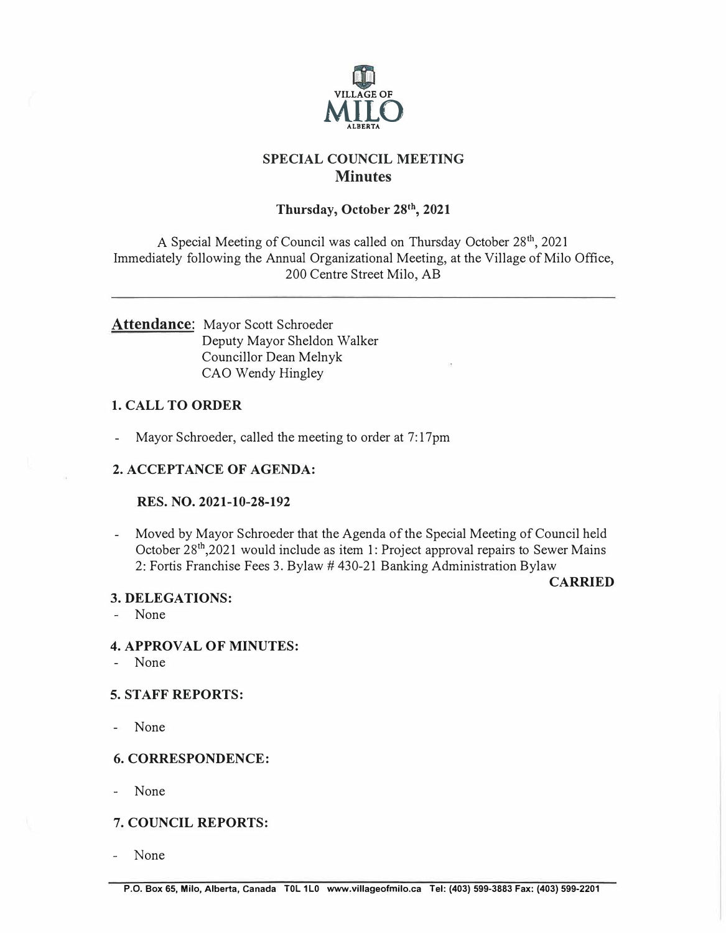

# **SPECIAL COUNCIL MEETING Minutes**

## **Thursday, October 28<sup>1</sup>\ 2021**

A Special Meeting of Council was called on Thursday October 28<sup>th</sup>, 2021 Immediately following the Annual Organizational Meeting, at the Village of Milo Office, 200 Centre Street Milo, AB

## Attendance: Mayor Scott Schroeder Deputy Mayor Sheldon Walker Councillor Dean Melnyk CAO Wendy Hingley

## **1. CALL TO ORDER**

- Mayor Schroeder, called the meeting to order at 7:17pm

## **2. ACCEPTANCE OF AGENDA:**

### **RES. NO. 2021-10-28-192**

- Moved by Mayor Schroeder that the Agenda of the Special Meeting of Council held October 28th ,2021 would include as item 1: Project approval repairs to Sewer Mains 2: Fortis Franchise Fees 3. Bylaw # 430-21 Banking Administration Bylaw

**CARRIED** 

### **3. DELEGATIONS:**

- None

### **4. APPROVAL OF MINUTES:**

- None

### **5. STAFF REPORTS:**

- None

### **6. CORRESPONDENCE:**

None

## **7. COUNCIL REPORTS:**

None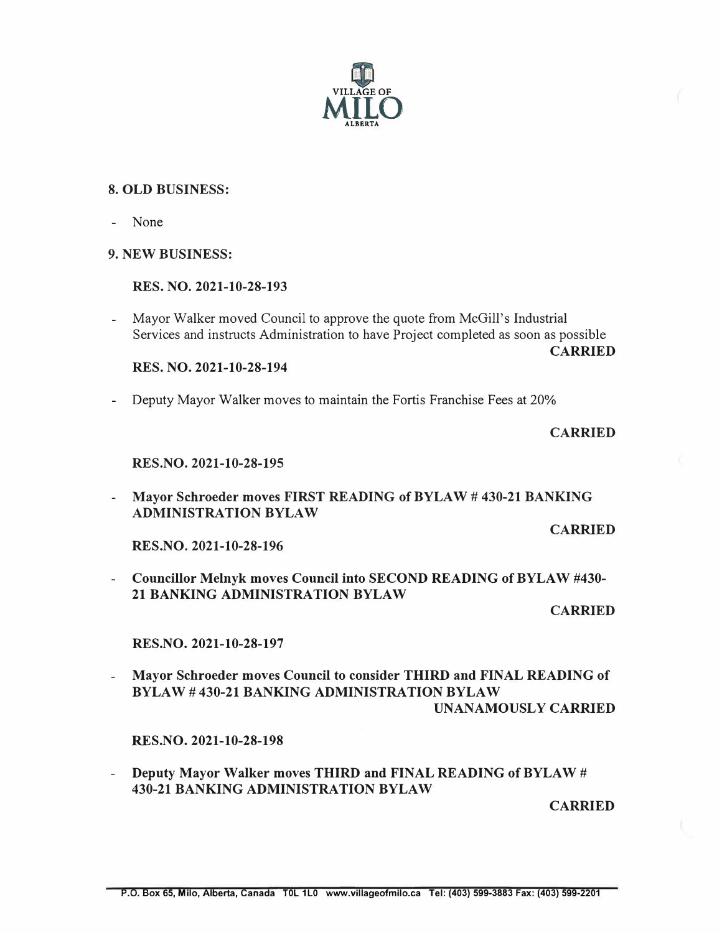

#### **8. OLD BUSINESS:**

- None

#### **9. NEW BUSINESS:**

#### **RES. NO. 2021-10-28-193**

- Mayor Walker moved Council to approve the quote from McGill's Industrial Services and instructs Administration to have Project completed as soon as possible

**RES. NO. 2021-10-28-194** 

- Deputy Mayor Walker moves to maintain the Fortis Franchise Fees at 20%

#### **CARRIED**

**CARRIED** 

#### **RES.NO. 2021-10-28-195**

**- Mayor Schroeder moves FIRST READING of BYLAW # 430-21 BANKING ADMINISTRATION BYLAW**

**CARRIED** 

**RES.NO. 2021-10-28-196**

- Councillor Melnyk moves Council into SECOND READING of BYLAW #430- 21 BANKING ADMINISTRATION BYLAW

**CARRIED** 

RES.NO. 2021-10-28-197

- Mayor Schroeder moves Council to consider THIRD and FINAL READING of BYLAW# 430-21 BANKING ADMINISTRATION BYLAW UNANAMOUSLY CARRIED

RES.NO. 2021-10-28-198

- Deputy Mayor Walker moves THIRD and FINAL READING of BYLAW # 430-21 BANKING ADMINISTRATION BYLAW

**CARRIED**